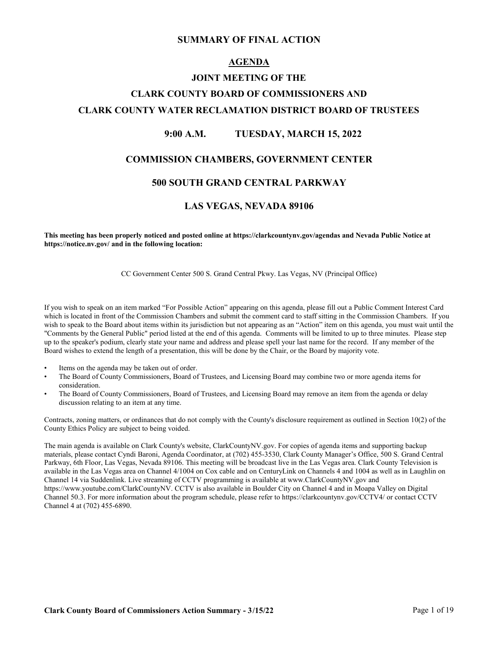#### **SUMMARY OF FINAL ACTION**

#### **AGENDA**

# **JOINT MEETING OF THE CLARK COUNTY BOARD OF COMMISSIONERS AND CLARK COUNTY WATER RECLAMATION DISTRICT BOARD OF TRUSTEES**

#### **9:00 A.M. TUESDAY, MARCH 15, 2022**

#### **COMMISSION CHAMBERS, GOVERNMENT CENTER**

#### **500 SOUTH GRAND CENTRAL PARKWAY**

#### **LAS VEGAS, NEVADA 89106**

**This meeting has been properly noticed and posted online at https://clarkcountynv.gov/agendas and Nevada Public Notice at https://notice.nv.gov/ and in the following location:**

CC Government Center 500 S. Grand Central Pkwy. Las Vegas, NV (Principal Office)

If you wish to speak on an item marked "For Possible Action" appearing on this agenda, please fill out a Public Comment Interest Card which is located in front of the Commission Chambers and submit the comment card to staff sitting in the Commission Chambers. If you wish to speak to the Board about items within its jurisdiction but not appearing as an "Action" item on this agenda, you must wait until the "Comments by the General Public" period listed at the end of this agenda. Comments will be limited to up to three minutes. Please step up to the speaker's podium, clearly state your name and address and please spell your last name for the record. If any member of the Board wishes to extend the length of a presentation, this will be done by the Chair, or the Board by majority vote.

- Items on the agenda may be taken out of order.
- The Board of County Commissioners, Board of Trustees, and Licensing Board may combine two or more agenda items for consideration.
- The Board of County Commissioners, Board of Trustees, and Licensing Board may remove an item from the agenda or delay discussion relating to an item at any time.

Contracts, zoning matters, or ordinances that do not comply with the County's disclosure requirement as outlined in Section 10(2) of the County Ethics Policy are subject to being voided.

The main agenda is available on Clark County's website, ClarkCountyNV.gov. For copies of agenda items and supporting backup materials, please contact Cyndi Baroni, Agenda Coordinator, at (702) 455-3530, Clark County Manager's Office, 500 S. Grand Central Parkway, 6th Floor, Las Vegas, Nevada 89106. This meeting will be broadcast live in the Las Vegas area. Clark County Television is available in the Las Vegas area on Channel 4/1004 on Cox cable and on CenturyLink on Channels 4 and 1004 as well as in Laughlin on Channel 14 via Suddenlink. Live streaming of CCTV programming is available at www.ClarkCountyNV.gov and https://www.youtube.com/ClarkCountyNV. CCTV is also available in Boulder City on Channel 4 and in Moapa Valley on Digital Channel 50.3. For more information about the program schedule, please refer to https://clarkcountynv.gov/CCTV4/ or contact CCTV Channel 4 at (702) 455-6890.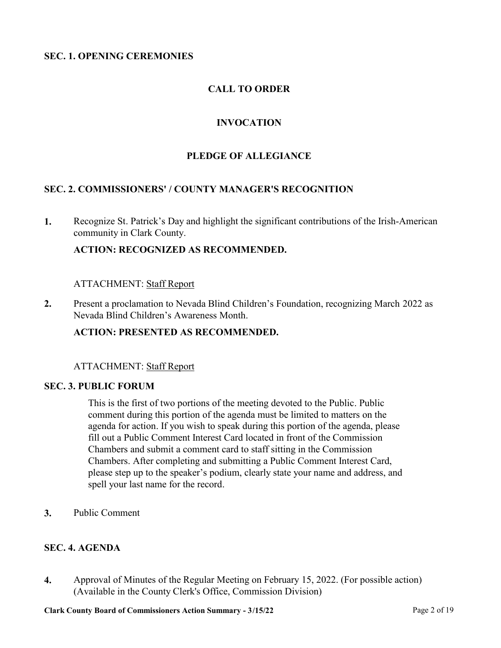### **SEC. 1. OPENING CEREMONIES**

# **CALL TO ORDER**

### **INVOCATION**

### **PLEDGE OF ALLEGIANCE**

### **SEC. 2. COMMISSIONERS' / COUNTY MANAGER'S RECOGNITION**

[Recognize St. Patrick's Day and highlight the significant contributions of the Irish-American](http://clark.legistar.com/gateway.aspx?m=l&id=/matter.aspx?key=8017)  community in Clark County. **1.**

### **ACTION: RECOGNIZED AS RECOMMENDED.**

#### ATTACHMENT: Staff Report

[Present a proclamation to Nevada Blind Children's Foundation, recognizing March 2022 as](http://clark.legistar.com/gateway.aspx?m=l&id=/matter.aspx?key=8073)  Nevada Blind Children's Awareness Month. **2.**

### **ACTION: PRESENTED AS RECOMMENDED.**

#### ATTACHMENT: Staff Report

#### **SEC. 3. PUBLIC FORUM**

This is the first of two portions of the meeting devoted to the Public. Public comment during this portion of the agenda must be limited to matters on the agenda for action. If you wish to speak during this portion of the agenda, please fill out a Public Comment Interest Card located in front of the Commission Chambers and submit a comment card to staff sitting in the Commission Chambers. After completing and submitting a Public Comment Interest Card, please step up to the speaker's podium, clearly state your name and address, and spell your last name for the record.

**3.** [Public Comment](http://clark.legistar.com/gateway.aspx?m=l&id=/matter.aspx?key=7956)

#### **SEC. 4. AGENDA**

[Approval of Minutes of the Regular Meeting on February 15, 2022. \(For possible action\)](http://clark.legistar.com/gateway.aspx?m=l&id=/matter.aspx?key=7953)  (Available in the County Clerk's Office, Commission Division) **4.**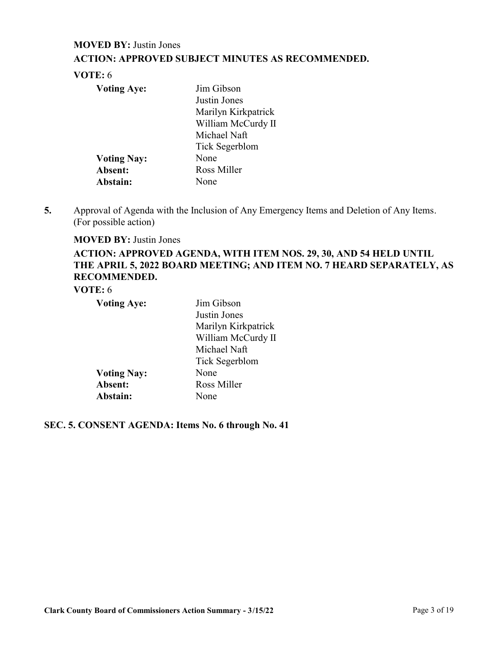#### **MOVED BY:** Justin Jones

### **ACTION: APPROVED SUBJECT MINUTES AS RECOMMENDED.**

#### **VOTE:** 6

| <b>Voting Aye:</b> | Jim Gibson          |
|--------------------|---------------------|
|                    | Justin Jones        |
|                    | Marilyn Kirkpatrick |
|                    | William McCurdy II  |
|                    | Michael Naft        |
|                    | Tick Segerblom      |
| <b>Voting Nay:</b> | None                |
| Absent:            | Ross Miller         |
| Abstain:           | None                |

[Approval of Agenda with the Inclusion of Any Emergency Items and Deletion of Any Items.](http://clark.legistar.com/gateway.aspx?m=l&id=/matter.aspx?key=7955)  (For possible action) **5.**

### **MOVED BY:** Justin Jones

**ACTION: APPROVED AGENDA, WITH ITEM NOS. 29, 30, AND 54 HELD UNTIL THE APRIL 5, 2022 BOARD MEETING; AND ITEM NO. 7 HEARD SEPARATELY, AS RECOMMENDED.**

**VOTE:** 6

| <b>Voting Aye:</b> | Jim Gibson          |
|--------------------|---------------------|
|                    | Justin Jones        |
|                    | Marilyn Kirkpatrick |
|                    | William McCurdy II  |
|                    | Michael Naft        |
|                    | Tick Segerblom      |
| <b>Voting Nay:</b> | None                |
| Absent:            | Ross Miller         |
| Abstain:           | None                |

### **SEC. 5. CONSENT AGENDA: Items No. 6 through No. 41**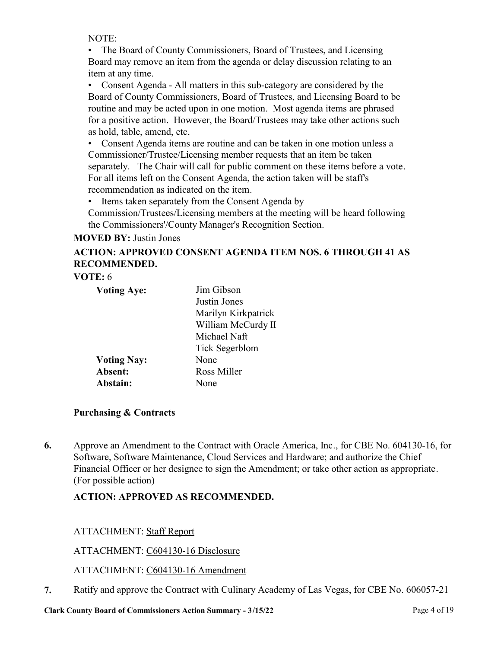NOTE:

• The Board of County Commissioners, Board of Trustees, and Licensing Board may remove an item from the agenda or delay discussion relating to an item at any time.

• Consent Agenda - All matters in this sub-category are considered by the Board of County Commissioners, Board of Trustees, and Licensing Board to be routine and may be acted upon in one motion. Most agenda items are phrased for a positive action. However, the Board/Trustees may take other actions such as hold, table, amend, etc.

• Consent Agenda items are routine and can be taken in one motion unless a Commissioner/Trustee/Licensing member requests that an item be taken separately. The Chair will call for public comment on these items before a vote. For all items left on the Consent Agenda, the action taken will be staff's recommendation as indicated on the item.

• Items taken separately from the Consent Agenda by

Commission/Trustees/Licensing members at the meeting will be heard following the Commissioners'/County Manager's Recognition Section.

**MOVED BY:** Justin Jones

# **ACTION: APPROVED CONSENT AGENDA ITEM NOS. 6 THROUGH 41 AS RECOMMENDED.**

**VOTE:** 6

| <b>Voting Aye:</b> | Jim Gibson          |
|--------------------|---------------------|
|                    | Justin Jones        |
|                    | Marilyn Kirkpatrick |
|                    | William McCurdy II  |
|                    | Michael Naft        |
|                    | Tick Segerblom      |
| <b>Voting Nay:</b> | None                |
| Absent:            | Ross Miller         |
| Abstain:           | None                |

### **Purchasing & Contracts**

[Approve an Amendment to the Contract with Oracle America, Inc., for CBE No. 604130-16, for](http://clark.legistar.com/gateway.aspx?m=l&id=/matter.aspx?key=7998)  Software, Software Maintenance, Cloud Services and Hardware; and authorize the Chief Financial Officer or her designee to sign the Amendment; or take other action as appropriate. (For possible action) **6.**

# **ACTION: APPROVED AS RECOMMENDED.**

# ATTACHMENT: Staff Report

ATTACHMENT: C604130-16 Disclosure

ATTACHMENT: C604130-16 Amendment

**7.** [Ratify and approve the Contract with Culinary Academy of Las Vegas, for CBE No. 606057-21](http://clark.legistar.com/gateway.aspx?m=l&id=/matter.aspx?key=8066)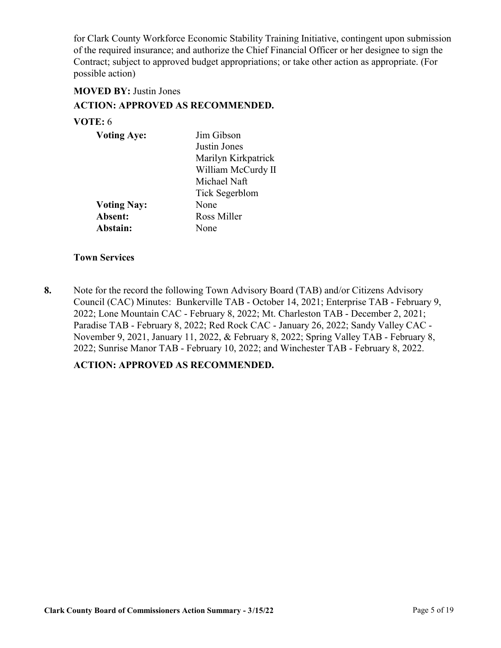[for Clark County Workforce Economic Stability Training Initiative, contingent upon submission](http://clark.legistar.com/gateway.aspx?m=l&id=/matter.aspx?key=8066)  of the required insurance; and authorize the Chief Financial Officer or her designee to sign the Contract; subject to approved budget appropriations; or take other action as appropriate. (For possible action)

### **MOVED BY:** Justin Jones

### **ACTION: APPROVED AS RECOMMENDED.**

### **VOTE:** 6

| <b>Voting Aye:</b> | Jim Gibson<br>Justin Jones<br>Marilyn Kirkpatrick<br>William McCurdy II<br>Michael Naft<br>Tick Segerblom |
|--------------------|-----------------------------------------------------------------------------------------------------------|
| <b>Voting Nay:</b> | None                                                                                                      |
| Absent:            | Ross Miller                                                                                               |
| Abstain:           | None                                                                                                      |

#### **Town Services**

Note for the record the following Town Advisory Board (TAB) and/or Citizens Advisory [Council \(CAC\) Minutes: Bunkerville TAB - October 14, 2021; Enterprise TAB - February 9,](http://clark.legistar.com/gateway.aspx?m=l&id=/matter.aspx?key=8179)  2022; Lone Mountain CAC - February 8, 2022; Mt. Charleston TAB - December 2, 2021; Paradise TAB - February 8, 2022; Red Rock CAC - January 26, 2022; Sandy Valley CAC - November 9, 2021, January 11, 2022, & February 8, 2022; Spring Valley TAB - February 8, 2022; Sunrise Manor TAB - February 10, 2022; and Winchester TAB - February 8, 2022. **8.**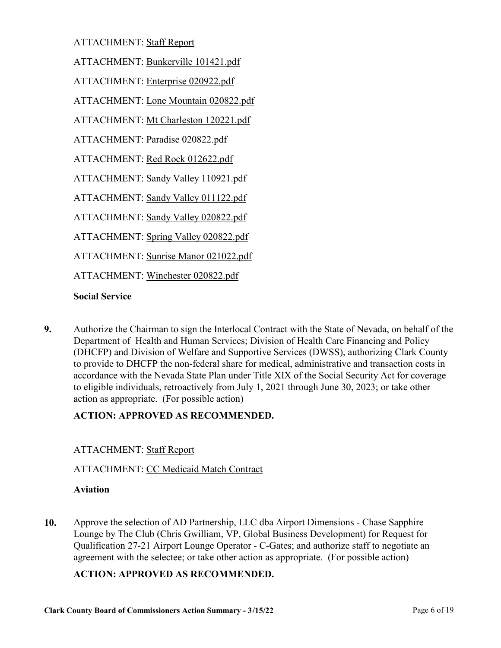ATTACHMENT: Bunkerville 101421.pdf

ATTACHMENT: Enterprise 020922.pdf

ATTACHMENT: Lone Mountain 020822.pdf

ATTACHMENT: Mt Charleston 120221.pdf

ATTACHMENT: Paradise 020822.pdf

ATTACHMENT: Red Rock 012622.pdf

ATTACHMENT: Sandy Valley 110921.pdf

ATTACHMENT: Sandy Valley 011122.pdf

ATTACHMENT: Sandy Valley 020822.pdf

ATTACHMENT: Spring Valley 020822.pdf

ATTACHMENT: Sunrise Manor 021022.pdf

ATTACHMENT: Winchester 020822.pdf

### **Social Service**

[Authorize the Chairman to sign the Interlocal Contract with the State of Nevada, on behalf of the](http://clark.legistar.com/gateway.aspx?m=l&id=/matter.aspx?key=8205)  Department of Health and Human Services; Division of Health Care Financing and Policy (DHCFP) and Division of Welfare and Supportive Services (DWSS), authorizing Clark County to provide to DHCFP the non-federal share for medical, administrative and transaction costs in accordance with the Nevada State Plan under Title XIX of the Social Security Act for coverage to eligible individuals, retroactively from July 1, 2021 through June 30, 2023; or take other action as appropriate. (For possible action) **9.**

### **ACTION: APPROVED AS RECOMMENDED.**

### ATTACHMENT: Staff Report

### ATTACHMENT: CC Medicaid Match Contract

### **Aviation**

Approve the selection of AD Partnership, LLC dba Airport Dimensions - Chase Sapphire Lounge by The Club (Chris Gwilliam, VP, Global Business Development) for Request for [Qualification 27-21 Airport Lounge Operator - C-Gates; and authorize staff to negotiate an](http://clark.legistar.com/gateway.aspx?m=l&id=/matter.aspx?key=8125)  agreement with the selectee; or take other action as appropriate. (For possible action) **10.**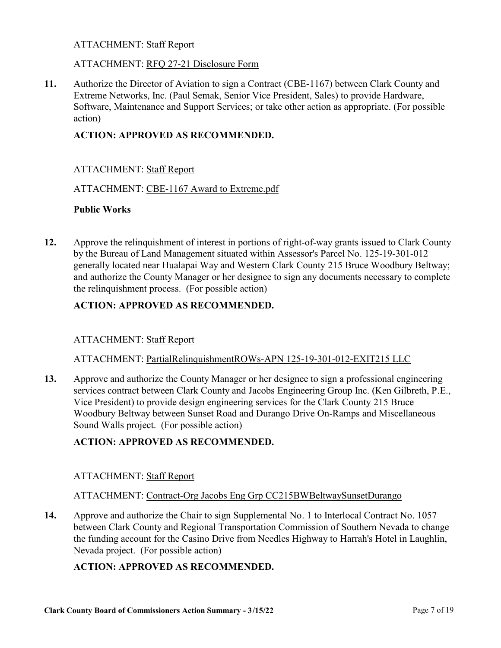### ATTACHMENT: RFQ 27-21 Disclosure Form

Authorize the Director of Aviation to sign a Contract (CBE-1167) between Clark County and Extreme Networks, Inc. (Paul Semak, Senior Vice President, Sales) to provide Hardware, [Software, Maintenance and Support Services; or take other action as appropriate. \(For possible](http://clark.legistar.com/gateway.aspx?m=l&id=/matter.aspx?key=8126)  action) **11.**

### **ACTION: APPROVED AS RECOMMENDED.**

### ATTACHMENT: Staff Report

### ATTACHMENT: CBE-1167 Award to Extreme.pdf

### **Public Works**

[Approve the relinquishment of interest in portions of right-of-way grants issued to Clark County](http://clark.legistar.com/gateway.aspx?m=l&id=/matter.aspx?key=8183)  by the Bureau of Land Management situated within Assessor's Parcel No. 125-19-301-012 generally located near Hualapai Way and Western Clark County 215 Bruce Woodbury Beltway; and authorize the County Manager or her designee to sign any documents necessary to complete the relinquishment process. (For possible action) **12.**

### **ACTION: APPROVED AS RECOMMENDED.**

### ATTACHMENT: Staff Report

### ATTACHMENT: PartialRelinquishmentROWs-APN 125-19-301-012-EXIT215 LLC

Approve and authorize the County Manager or her designee to sign a professional engineering [services contract between Clark County and Jacobs Engineering Group Inc. \(Ken Gilbreth, P.E.,](http://clark.legistar.com/gateway.aspx?m=l&id=/matter.aspx?key=8184)  Vice President) to provide design engineering services for the Clark County 215 Bruce Woodbury Beltway between Sunset Road and Durango Drive On-Ramps and Miscellaneous Sound Walls project. (For possible action) **13.**

### **ACTION: APPROVED AS RECOMMENDED.**

### ATTACHMENT: Staff Report

#### ATTACHMENT: Contract-Org Jacobs Eng Grp CC215BWBeltwaySunsetDurango

Approve and authorize the Chair to sign Supplemental No. 1 to Interlocal Contract No. 1057 [between Clark County and Regional Transportation Commission of Southern Nevada to change](http://clark.legistar.com/gateway.aspx?m=l&id=/matter.aspx?key=8185)  the funding account for the Casino Drive from Needles Highway to Harrah's Hotel in Laughlin, Nevada project. (For possible action) **14.**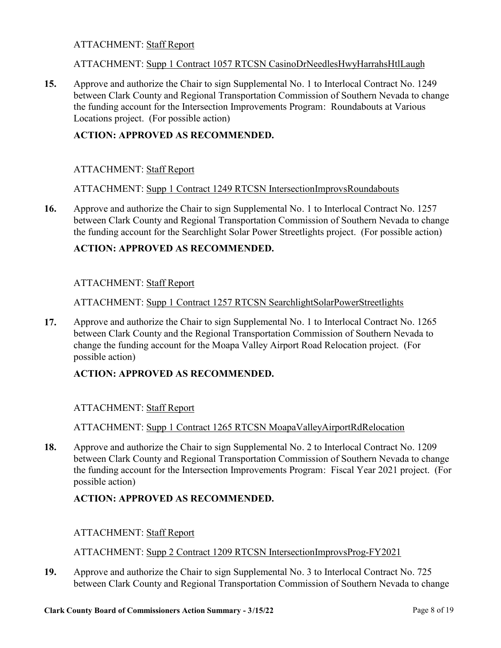#### ATTACHMENT: Supp 1 Contract 1057 RTCSN CasinoDrNeedlesHwyHarrahsHtlLaugh

Approve and authorize the Chair to sign Supplemental No. 1 to Interlocal Contract No. 1249 [between Clark County and Regional Transportation Commission of Southern Nevada to change](http://clark.legistar.com/gateway.aspx?m=l&id=/matter.aspx?key=8186)  the funding account for the Intersection Improvements Program: Roundabouts at Various Locations project. (For possible action) **15.**

### **ACTION: APPROVED AS RECOMMENDED.**

### ATTACHMENT: Staff Report

ATTACHMENT: Supp 1 Contract 1249 RTCSN IntersectionImprovsRoundabouts

Approve and authorize the Chair to sign Supplemental No. 1 to Interlocal Contract No. 1257 [between Clark County and Regional Transportation Commission of Southern Nevada to change](http://clark.legistar.com/gateway.aspx?m=l&id=/matter.aspx?key=8187)  the funding account for the Searchlight Solar Power Streetlights project. (For possible action) **16.**

### **ACTION: APPROVED AS RECOMMENDED.**

### ATTACHMENT: Staff Report

ATTACHMENT: Supp 1 Contract 1257 RTCSN SearchlightSolarPowerStreetlights

[Approve and authorize the Chair to sign Supplemental No. 1 to Interlocal Contract No. 1265](http://clark.legistar.com/gateway.aspx?m=l&id=/matter.aspx?key=8188)  between Clark County and the Regional Transportation Commission of Southern Nevada to change the funding account for the Moapa Valley Airport Road Relocation project. (For possible action) **17.**

### **ACTION: APPROVED AS RECOMMENDED.**

### ATTACHMENT: Staff Report

ATTACHMENT: Supp 1 Contract 1265 RTCSN MoapaValleyAirportRdRelocation

Approve and authorize the Chair to sign Supplemental No. 2 to Interlocal Contract No. 1209 between Clark County and Regional Transportation Commission of Southern Nevada to change [the funding account for the Intersection Improvements Program: Fiscal Year 2021 project. \(For](http://clark.legistar.com/gateway.aspx?m=l&id=/matter.aspx?key=8189)  possible action) **18.**

### **ACTION: APPROVED AS RECOMMENDED.**

### ATTACHMENT: Staff Report

ATTACHMENT: Supp 2 Contract 1209 RTCSN IntersectionImprovsProg-FY2021

Approve and authorize the Chair to sign Supplemental No. 3 to Interlocal Contract No. 725 [between Clark County and Regional Transportation Commission of Southern Nevada to change](http://clark.legistar.com/gateway.aspx?m=l&id=/matter.aspx?key=8190)  **19.**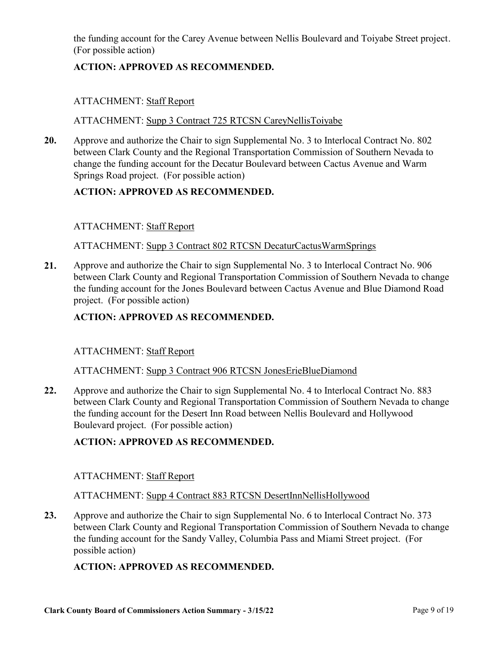[the funding account for the Carey Avenue between Nellis Boulevard and Toiyabe Street project.](http://clark.legistar.com/gateway.aspx?m=l&id=/matter.aspx?key=8190)  (For possible action)

# **ACTION: APPROVED AS RECOMMENDED.**

# ATTACHMENT: Staff Report

### ATTACHMENT: Supp 3 Contract 725 RTCSN CareyNellisToiyabe

Approve and authorize the Chair to sign Supplemental No. 3 to Interlocal Contract No. 802 [between Clark County and the Regional Transportation Commission of Southern Nevada to](http://clark.legistar.com/gateway.aspx?m=l&id=/matter.aspx?key=8191)  change the funding account for the Decatur Boulevard between Cactus Avenue and Warm Springs Road project. (For possible action) **20.**

### **ACTION: APPROVED AS RECOMMENDED.**

### ATTACHMENT: Staff Report

### ATTACHMENT: Supp 3 Contract 802 RTCSN DecaturCactusWarmSprings

Approve and authorize the Chair to sign Supplemental No. 3 to Interlocal Contract No. 906 [between Clark County and Regional Transportation Commission of Southern Nevada to change](http://clark.legistar.com/gateway.aspx?m=l&id=/matter.aspx?key=8192)  the funding account for the Jones Boulevard between Cactus Avenue and Blue Diamond Road project. (For possible action) **21.**

# **ACTION: APPROVED AS RECOMMENDED.**

### ATTACHMENT: Staff Report

### ATTACHMENT: Supp 3 Contract 906 RTCSN JonesErieBlueDiamond

Approve and authorize the Chair to sign Supplemental No. 4 to Interlocal Contract No. 883 [between Clark County and Regional Transportation Commission of Southern Nevada to change](http://clark.legistar.com/gateway.aspx?m=l&id=/matter.aspx?key=8193)  the funding account for the Desert Inn Road between Nellis Boulevard and Hollywood Boulevard project. (For possible action) **22.**

### **ACTION: APPROVED AS RECOMMENDED.**

### ATTACHMENT: Staff Report

### ATTACHMENT: Supp 4 Contract 883 RTCSN DesertInnNellisHollywood

Approve and authorize the Chair to sign Supplemental No. 6 to Interlocal Contract No. 373 [between Clark County and Regional Transportation Commission of Southern Nevada to change](http://clark.legistar.com/gateway.aspx?m=l&id=/matter.aspx?key=8194)  the funding account for the Sandy Valley, Columbia Pass and Miami Street project. (For possible action) **23.**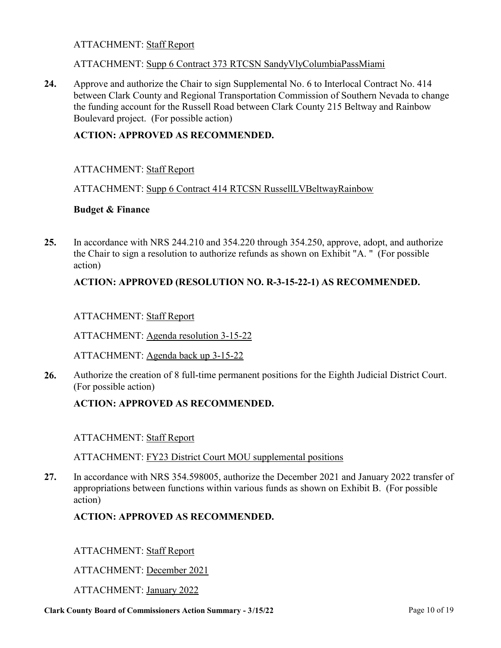#### ATTACHMENT: Supp 6 Contract 373 RTCSN SandyVlyColumbiaPassMiami

Approve and authorize the Chair to sign Supplemental No. 6 to Interlocal Contract No. 414 [between Clark County and Regional Transportation Commission of Southern Nevada to change](http://clark.legistar.com/gateway.aspx?m=l&id=/matter.aspx?key=8195)  the funding account for the Russell Road between Clark County 215 Beltway and Rainbow Boulevard project. (For possible action) **24.**

### **ACTION: APPROVED AS RECOMMENDED.**

### ATTACHMENT: Staff Report

### ATTACHMENT: Supp 6 Contract 414 RTCSN RussellLVBeltwayRainbow

### **Budget & Finance**

[In accordance with NRS 244.210 and 354.220 through 354.250, approve, adopt, and authorize](http://clark.legistar.com/gateway.aspx?m=l&id=/matter.aspx?key=8123)  the Chair to sign a resolution to authorize refunds as shown on Exhibit "A. " (For possible action) **25.**

### **ACTION: APPROVED (RESOLUTION NO. R-3-15-22-1) AS RECOMMENDED.**

### ATTACHMENT: Staff Report

ATTACHMENT: Agenda resolution 3-15-22

ATTACHMENT: Agenda back up 3-15-22

[Authorize the creation of 8 full-time permanent positions for the Eighth Judicial District Court.](http://clark.legistar.com/gateway.aspx?m=l&id=/matter.aspx?key=8090)  (For possible action) **26.**

### **ACTION: APPROVED AS RECOMMENDED.**

### ATTACHMENT: Staff Report

ATTACHMENT: FY23 District Court MOU supplemental positions

[In accordance with NRS 354.598005, authorize the December 2021 and January 2022 transfer of](http://clark.legistar.com/gateway.aspx?m=l&id=/matter.aspx?key=8091)  appropriations between functions within various funds as shown on Exhibit B. (For possible action) **27.**

### **ACTION: APPROVED AS RECOMMENDED.**

ATTACHMENT: Staff Report

ATTACHMENT: December 2021

ATTACHMENT: January 2022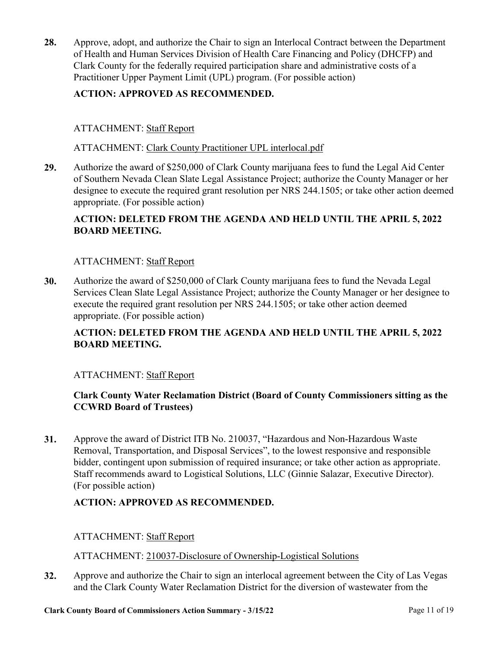[Approve, adopt, and authorize the Chair to sign an Interlocal Contract between the Department](http://clark.legistar.com/gateway.aspx?m=l&id=/matter.aspx?key=8199)  of Health and Human Services Division of Health Care Financing and Policy (DHCFP) and Clark County for the federally required participation share and administrative costs of a Practitioner Upper Payment Limit (UPL) program. (For possible action) **28.**

# **ACTION: APPROVED AS RECOMMENDED.**

### ATTACHMENT: Staff Report

ATTACHMENT: Clark County Practitioner UPL interlocal.pdf

Authorize the award of \$250,000 of Clark County marijuana fees to fund the Legal Aid Center of Southern Nevada Clean Slate Legal Assistance Project; authorize the County Manager or her [designee to execute the required grant resolution per NRS 244.1505; or take other action deemed](http://clark.legistar.com/gateway.aspx?m=l&id=/matter.aspx?key=8200)  appropriate. (For possible action) **29.**

# **ACTION: DELETED FROM THE AGENDA AND HELD UNTIL THE APRIL 5, 2022 BOARD MEETING.**

### ATTACHMENT: Staff Report

Authorize the award of \$250,000 of Clark County marijuana fees to fund the Nevada Legal [Services Clean Slate Legal Assistance Project; authorize the County Manager or her designee to](http://clark.legistar.com/gateway.aspx?m=l&id=/matter.aspx?key=8201)  execute the required grant resolution per NRS 244.1505; or take other action deemed appropriate. (For possible action) **30.**

# **ACTION: DELETED FROM THE AGENDA AND HELD UNTIL THE APRIL 5, 2022 BOARD MEETING.**

### ATTACHMENT: Staff Report

### **Clark County Water Reclamation District (Board of County Commissioners sitting as the CCWRD Board of Trustees)**

Approve the award of District ITB No. 210037, "Hazardous and Non-Hazardous Waste Removal, Transportation, and Disposal Services", to the lowest responsive and responsible [bidder, contingent upon submission of required insurance; or take other action as appropriate.](http://clark.legistar.com/gateway.aspx?m=l&id=/matter.aspx?key=8079)  Staff recommends award to Logistical Solutions, LLC (Ginnie Salazar, Executive Director). (For possible action) **31.**

### **ACTION: APPROVED AS RECOMMENDED.**

ATTACHMENT: Staff Report

ATTACHMENT: 210037-Disclosure of Ownership-Logistical Solutions

[Approve and authorize the Chair to sign an interlocal agreement between the City of Las Vegas](http://clark.legistar.com/gateway.aspx?m=l&id=/matter.aspx?key=8080)  and the Clark County Water Reclamation District for the diversion of wastewater from the **32.**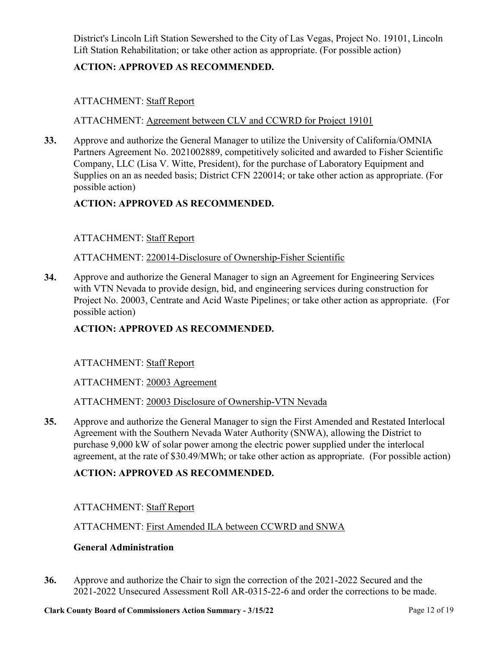[District's Lincoln Lift Station Sewershed to the City of Las Vegas, Project No. 19101, Lincoln](http://clark.legistar.com/gateway.aspx?m=l&id=/matter.aspx?key=8080)  Lift Station Rehabilitation; or take other action as appropriate. (For possible action)

## **ACTION: APPROVED AS RECOMMENDED.**

# ATTACHMENT: Staff Report

### ATTACHMENT: Agreement between CLV and CCWRD for Project 19101

Approve and authorize the General Manager to utilize the University of California/OMNIA [Partners Agreement No. 2021002889, competitively solicited and awarded to Fisher Scientific](http://clark.legistar.com/gateway.aspx?m=l&id=/matter.aspx?key=8081)  Company, LLC (Lisa V. Witte, President), for the purchase of Laboratory Equipment and Supplies on an as needed basis; District CFN 220014; or take other action as appropriate. (For possible action) **33.**

### **ACTION: APPROVED AS RECOMMENDED.**

### ATTACHMENT: Staff Report

### ATTACHMENT: 220014-Disclosure of Ownership-Fisher Scientific

Approve and authorize the General Manager to sign an Agreement for Engineering Services with VTN Nevada to provide design, bid, and engineering services during construction for [Project No. 20003, Centrate and Acid Waste Pipelines; or take other action as appropriate. \(For](http://clark.legistar.com/gateway.aspx?m=l&id=/matter.aspx?key=8082)  possible action) **34.**

### **ACTION: APPROVED AS RECOMMENDED.**

### ATTACHMENT: Staff Report

ATTACHMENT: 20003 Agreement

### ATTACHMENT: 20003 Disclosure of Ownership-VTN Nevada

Approve and authorize the General Manager to sign the First Amended and Restated Interlocal Agreement with the Southern Nevada Water Authority (SNWA), allowing the District to purchase 9,000 kW of solar power among the electric power supplied under the interlocal [agreement, at the rate of \\$30.49/MWh; or take other action as appropriate. \(For possible action\)](http://clark.legistar.com/gateway.aspx?m=l&id=/matter.aspx?key=8089) **35.**

### **ACTION: APPROVED AS RECOMMENDED.**

### ATTACHMENT: Staff Report

### ATTACHMENT: First Amended ILA between CCWRD and SNWA

### **General Administration**

Approve and authorize the Chair to sign the correction of the 2021-2022 Secured and the [2021-2022 Unsecured Assessment Roll AR-0315-22-6 and order the corrections to be made.](http://clark.legistar.com/gateway.aspx?m=l&id=/matter.aspx?key=8078)  **36.**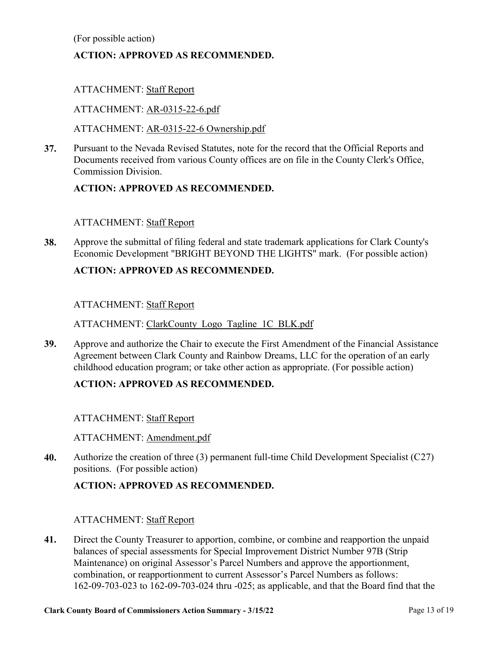[\(For possible action\)](http://clark.legistar.com/gateway.aspx?m=l&id=/matter.aspx?key=8078)

# **ACTION: APPROVED AS RECOMMENDED.**

### ATTACHMENT: Staff Report

### ATTACHMENT: AR-0315-22-6.pdf

### ATTACHMENT: AR-0315-22-6 Ownership.pdf

Pursuant to the Nevada Revised Statutes, note for the record that the Official Reports and [Documents received from various County offices are on file in the County Clerk's Office,](http://clark.legistar.com/gateway.aspx?m=l&id=/matter.aspx?key=8178)  Commission Division. **37.**

### **ACTION: APPROVED AS RECOMMENDED.**

### ATTACHMENT: Staff Report

[Approve the submittal of filing federal and state trademark applications for Clark County's](http://clark.legistar.com/gateway.aspx?m=l&id=/matter.aspx?key=8176)  Economic Development "BRIGHT BEYOND THE LIGHTS" mark. (For possible action) **38.**

# **ACTION: APPROVED AS RECOMMENDED.**

### ATTACHMENT: Staff Report

ATTACHMENT: ClarkCounty Logo Tagline 1C BLK.pdf

[Approve and authorize the Chair to execute the First Amendment of the Financial Assistance](http://clark.legistar.com/gateway.aspx?m=l&id=/matter.aspx?key=8203)  Agreement between Clark County and Rainbow Dreams, LLC for the operation of an early childhood education program; or take other action as appropriate. (For possible action) **39.**

### **ACTION: APPROVED AS RECOMMENDED.**

### ATTACHMENT: Staff Report

### ATTACHMENT: Amendment.pdf

[Authorize the creation of three \(3\) permanent full-time Child Development Specialist \(C27\)](http://clark.legistar.com/gateway.aspx?m=l&id=/matter.aspx?key=8077)  positions. (For possible action) **40.**

### **ACTION: APPROVED AS RECOMMENDED.**

### ATTACHMENT: Staff Report

Direct the County Treasurer to apportion, combine, or combine and reapportion the unpaid balances of special assessments for Special Improvement District Number 97B (Strip Maintenance) on original Assessor's Parcel Numbers and approve the apportionment, combination, or reapportionment to current Assessor's Parcel Numbers as follows: [162-09-703-023 to 162-09-703-024 thru -025; as applicable, and that the Board find that the](http://clark.legistar.com/gateway.aspx?m=l&id=/matter.aspx?key=8084)  **41.**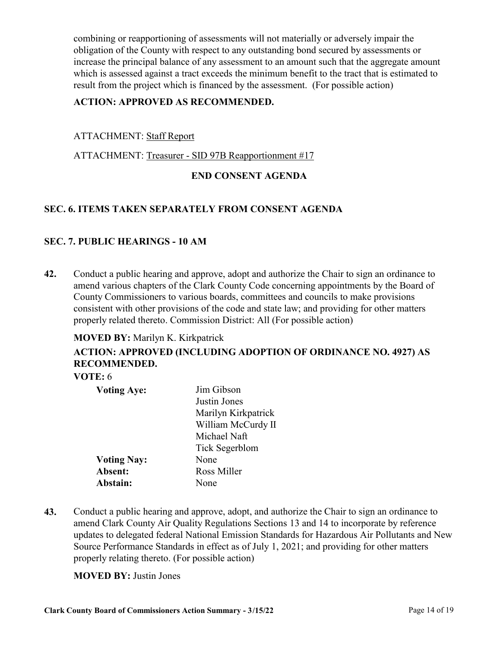combining or reapportioning of assessments will not materially or adversely impair the obligation of the County with respect to any outstanding bond secured by assessments or [increase the principal balance of any assessment to an amount such that the aggregate amount](http://clark.legistar.com/gateway.aspx?m=l&id=/matter.aspx?key=8084)  which is assessed against a tract exceeds the minimum benefit to the tract that is estimated to result from the project which is financed by the assessment. (For possible action)

# **ACTION: APPROVED AS RECOMMENDED.**

### ATTACHMENT: Staff Report

ATTACHMENT: Treasurer - SID 97B Reapportionment #17

# **END CONSENT AGENDA**

# **SEC. 6. ITEMS TAKEN SEPARATELY FROM CONSENT AGENDA**

### **SEC. 7. PUBLIC HEARINGS - 10 AM**

[Conduct a public hearing and approve, adopt and authorize the Chair to sign an ordinance to](http://clark.legistar.com/gateway.aspx?m=l&id=/matter.aspx?key=8068)  amend various chapters of the Clark County Code concerning appointments by the Board of County Commissioners to various boards, committees and councils to make provisions consistent with other provisions of the code and state law; and providing for other matters properly related thereto. Commission District: All (For possible action) **42.**

### **MOVED BY:** Marilyn K. Kirkpatrick

# **ACTION: APPROVED (INCLUDING ADOPTION OF ORDINANCE NO. 4927) AS RECOMMENDED.**

**VOTE:** 6

| <b>Voting Aye:</b> | Jim Gibson          |
|--------------------|---------------------|
|                    | Justin Jones        |
|                    | Marilyn Kirkpatrick |
|                    | William McCurdy II  |
|                    | Michael Naft        |
|                    | Tick Segerblom      |
| <b>Voting Nay:</b> | None                |
| Absent:            | Ross Miller         |
| Abstain:           | None                |
|                    |                     |

Conduct a public hearing and approve, adopt, and authorize the Chair to sign an ordinance to amend Clark County Air Quality Regulations Sections 13 and 14 to incorporate by reference [updates to delegated federal National Emission Standards for Hazardous Air Pollutants and New](http://clark.legistar.com/gateway.aspx?m=l&id=/matter.aspx?key=8182)  Source Performance Standards in effect as of July 1, 2021; and providing for other matters properly relating thereto. (For possible action) **43.**

**MOVED BY:** Justin Jones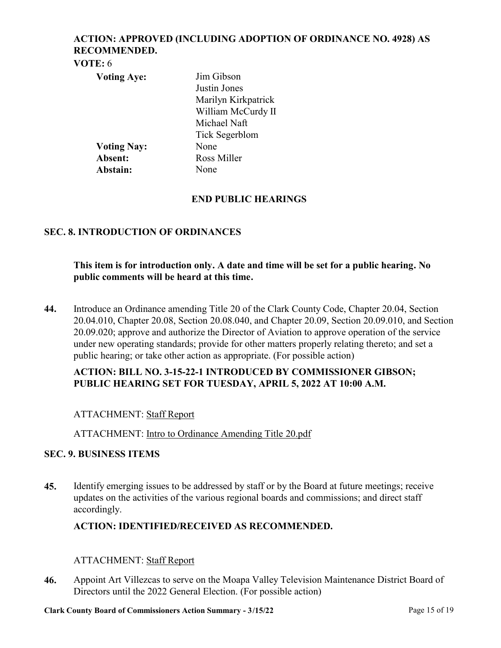### **ACTION: APPROVED (INCLUDING ADOPTION OF ORDINANCE NO. 4928) AS RECOMMENDED. VOTE:** 6

| <b>Voting Aye:</b> | Jim Gibson          |
|--------------------|---------------------|
|                    | Justin Jones        |
|                    | Marilyn Kirkpatrick |
|                    | William McCurdy II  |
|                    | Michael Naft        |
|                    | Tick Segerblom      |
| <b>Voting Nay:</b> | None                |
| Absent:            | Ross Miller         |
| Abstain:           | None                |
|                    |                     |

### **END PUBLIC HEARINGS**

### **SEC. 8. INTRODUCTION OF ORDINANCES**

### **This item is for introduction only. A date and time will be set for a public hearing. No public comments will be heard at this time.**

Introduce an Ordinance amending Title 20 of the Clark County Code, Chapter 20.04, Section [20.04.010, Chapter 20.08, Section 20.08.040, and Chapter 20.09, Section 20.09.010, and Section](http://clark.legistar.com/gateway.aspx?m=l&id=/matter.aspx?key=8127)  20.09.020; approve and authorize the Director of Aviation to approve operation of the service under new operating standards; provide for other matters properly relating thereto; and set a public hearing; or take other action as appropriate. (For possible action) **44.**

### **ACTION: BILL NO. 3-15-22-1 INTRODUCED BY COMMISSIONER GIBSON; PUBLIC HEARING SET FOR TUESDAY, APRIL 5, 2022 AT 10:00 A.M.**

### ATTACHMENT: Staff Report

ATTACHMENT: Intro to Ordinance Amending Title 20.pdf

### **SEC. 9. BUSINESS ITEMS**

[Identify emerging issues to be addressed by staff or by the Board at future meetings; receive](http://clark.legistar.com/gateway.aspx?m=l&id=/matter.aspx?key=7957)  updates on the activities of the various regional boards and commissions; and direct staff accordingly. **45.**

### **ACTION: IDENTIFIED/RECEIVED AS RECOMMENDED.**

### ATTACHMENT: Staff Report

[Appoint Art Villezcas to serve on the Moapa Valley Television Maintenance District Board of](http://clark.legistar.com/gateway.aspx?m=l&id=/matter.aspx?key=8198)  Directors until the 2022 General Election. (For possible action) **46.**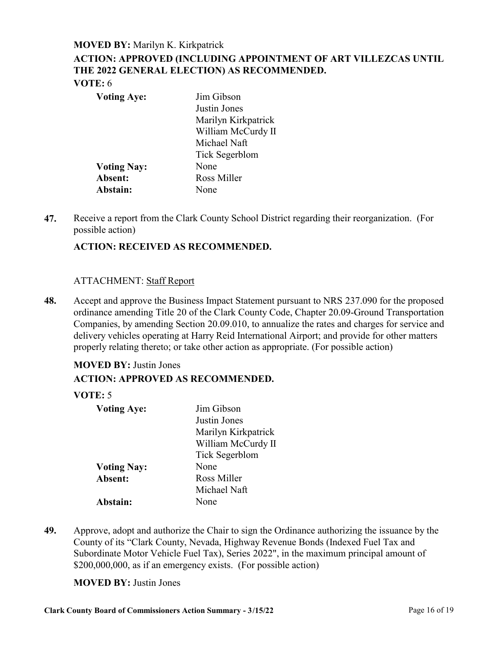#### **MOVED BY:** Marilyn K. Kirkpatrick

# **ACTION: APPROVED (INCLUDING APPOINTMENT OF ART VILLEZCAS UNTIL THE 2022 GENERAL ELECTION) AS RECOMMENDED. VOTE:** 6

| <b>Voting Aye:</b> | Jim Gibson          |
|--------------------|---------------------|
|                    | Justin Jones        |
|                    | Marilyn Kirkpatrick |
|                    | William McCurdy II  |
|                    | Michael Naft        |
|                    | Tick Segerblom      |
| <b>Voting Nay:</b> | None                |
| Absent:            | Ross Miller         |
| Abstain:           | None                |

[Receive a report from the Clark County School District regarding their reorganization. \(For](http://clark.legistar.com/gateway.aspx?m=l&id=/matter.aspx?key=8071)  possible action) **47.**

### **ACTION: RECEIVED AS RECOMMENDED.**

#### ATTACHMENT: Staff Report

Accept and approve the Business Impact Statement pursuant to NRS 237.090 for the proposed ordinance amending Title 20 of the Clark County Code, Chapter 20.09-Ground Transportation [Companies, by amending Section 20.09.010, to annualize the rates and charges for service and](http://clark.legistar.com/gateway.aspx?m=l&id=/matter.aspx?key=8128)  delivery vehicles operating at Harry Reid International Airport; and provide for other matters properly relating thereto; or take other action as appropriate. (For possible action) **48.**

### **MOVED BY:** Justin Jones **ACTION: APPROVED AS RECOMMENDED.**

#### **VOTE:** 5

| <b>Voting Aye:</b> | Jim Gibson          |
|--------------------|---------------------|
|                    | Justin Jones        |
|                    | Marilyn Kirkpatrick |
|                    | William McCurdy II  |
|                    | Tick Segerblom      |
| <b>Voting Nay:</b> | None                |
| Absent:            | Ross Miller         |
|                    | Michael Naft        |
| Abstain:           | None                |

[Approve, adopt and authorize the Chair to sign the Ordinance authorizing the issuance by the](http://clark.legistar.com/gateway.aspx?m=l&id=/matter.aspx?key=8177)  County of its "Clark County, Nevada, Highway Revenue Bonds (Indexed Fuel Tax and Subordinate Motor Vehicle Fuel Tax), Series 2022", in the maximum principal amount of \$200,000,000, as if an emergency exists. (For possible action) **49.**

#### **MOVED BY:** Justin Jones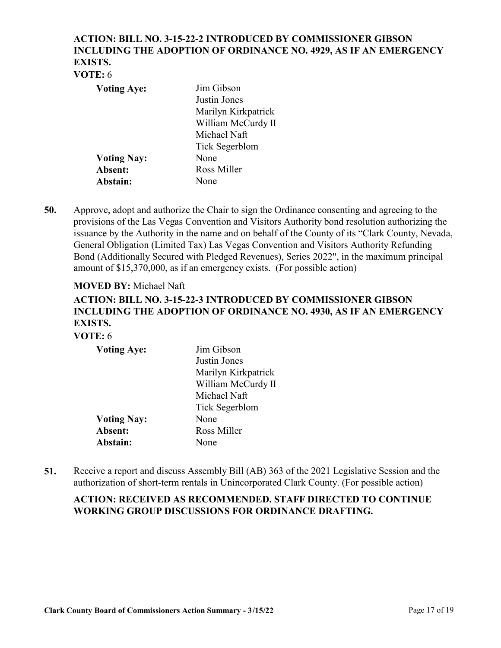# **ACTION: BILL NO. 3-15-22-2 INTRODUCED BY COMMISSIONER GIBSON INCLUDING THE ADOPTION OF ORDINANCE NO. 4929, AS IF AN EMERGENCY EXISTS.**

# **VOTE:** 6

| <b>Voting Aye:</b> | Jim Gibson<br>Justin Jones<br>Marilyn Kirkpatrick<br>William McCurdy II<br>Michael Naft |
|--------------------|-----------------------------------------------------------------------------------------|
|                    | Tick Segerblom                                                                          |
| <b>Voting Nay:</b> | None                                                                                    |
| Absent:            | Ross Miller                                                                             |
| Abstain:           | None                                                                                    |

Approve, adopt and authorize the Chair to sign the Ordinance consenting and agreeing to the provisions of the Las Vegas Convention and Visitors Authority bond resolution authorizing the [issuance by the Authority in the name and on behalf of the County of its "Clark County, Nevada,](http://clark.legistar.com/gateway.aspx?m=l&id=/matter.aspx?key=8180)  General Obligation (Limited Tax) Las Vegas Convention and Visitors Authority Refunding Bond (Additionally Secured with Pledged Revenues), Series 2022", in the maximum principal amount of \$15,370,000, as if an emergency exists. (For possible action) **50.**

### **MOVED BY:** Michael Naft

# **ACTION: BILL NO. 3-15-22-3 INTRODUCED BY COMMISSIONER GIBSON INCLUDING THE ADOPTION OF ORDINANCE NO. 4930, AS IF AN EMERGENCY EXISTS.**

| VOTE: 6 |  |
|---------|--|
|---------|--|

| <b>Voting Aye:</b> | Jim Gibson            |
|--------------------|-----------------------|
|                    | Justin Jones          |
|                    | Marilyn Kirkpatrick   |
|                    | William McCurdy II    |
|                    | Michael Naft          |
|                    | <b>Tick Segerblom</b> |
| <b>Voting Nay:</b> | None                  |
| Absent:            | Ross Miller           |
| Abstain:           | None                  |
|                    |                       |

[Receive a report and discuss Assembly Bill \(AB\) 363 of the 2021 Legislative Session and the](http://clark.legistar.com/gateway.aspx?m=l&id=/matter.aspx?key=8197)  authorization of short-term rentals in Unincorporated Clark County. (For possible action) **51.**

# **ACTION: RECEIVED AS RECOMMENDED. STAFF DIRECTED TO CONTINUE WORKING GROUP DISCUSSIONS FOR ORDINANCE DRAFTING.**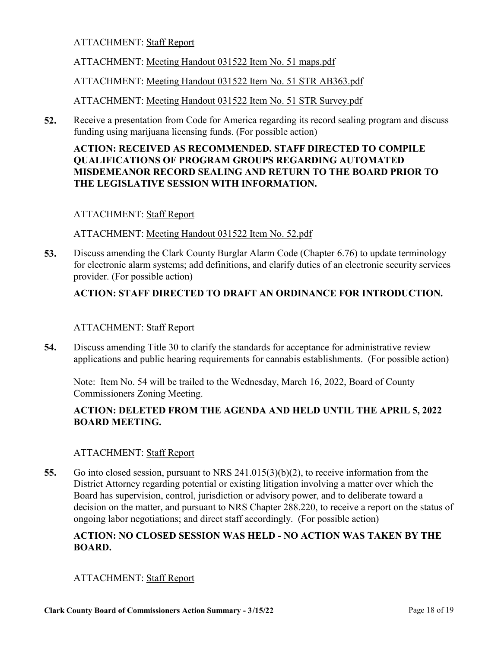ATTACHMENT: Meeting Handout 031522 Item No. 51 maps.pdf

ATTACHMENT: Meeting Handout 031522 Item No. 51 STR AB363.pdf

ATTACHMENT: Meeting Handout 031522 Item No. 51 STR Survey.pdf

[Receive a presentation from Code for America regarding its record sealing program and discuss](http://clark.legistar.com/gateway.aspx?m=l&id=/matter.aspx?key=8181)  funding using marijuana licensing funds. (For possible action) **52.**

## **ACTION: RECEIVED AS RECOMMENDED. STAFF DIRECTED TO COMPILE QUALIFICATIONS OF PROGRAM GROUPS REGARDING AUTOMATED MISDEMEANOR RECORD SEALING AND RETURN TO THE BOARD PRIOR TO THE LEGISLATIVE SESSION WITH INFORMATION.**

### ATTACHMENT: Staff Report

ATTACHMENT: Meeting Handout 031522 Item No. 52.pdf

Discuss amending the Clark County Burglar Alarm Code (Chapter 6.76) to update terminology [for electronic alarm systems; add definitions, and clarify duties of an electronic security services](http://clark.legistar.com/gateway.aspx?m=l&id=/matter.aspx?key=8206)  provider. (For possible action) **53.**

# **ACTION: STAFF DIRECTED TO DRAFT AN ORDINANCE FOR INTRODUCTION.**

### ATTACHMENT: Staff Report

Discuss amending Title 30 to clarify the standards for acceptance for administrative review [applications and public hearing requirements for cannabis establishments. \(For possible action\)](http://clark.legistar.com/gateway.aspx?m=l&id=/matter.aspx?key=8196)  **54.**

Note: Item No. 54 will be trailed to the Wednesday, March 16, 2022, Board of County Commissioners Zoning Meeting.

# **ACTION: DELETED FROM THE AGENDA AND HELD UNTIL THE APRIL 5, 2022 BOARD MEETING.**

### ATTACHMENT: Staff Report

Go into closed session, pursuant to NRS 241.015(3)(b)(2), to receive information from the District Attorney regarding potential or existing litigation involving a matter over which the Board has supervision, control, jurisdiction or advisory power, and to deliberate toward a [decision on the matter, and pursuant to NRS Chapter 288.220, to receive a report on the status of](http://clark.legistar.com/gateway.aspx?m=l&id=/matter.aspx?key=7958)  ongoing labor negotiations; and direct staff accordingly. (For possible action) **55.**

### **ACTION: NO CLOSED SESSION WAS HELD - NO ACTION WAS TAKEN BY THE BOARD.**

### ATTACHMENT: Staff Report